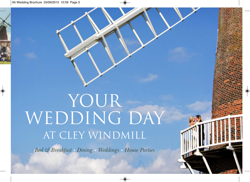# YOUR WEDDING DAY AT CLEY WINDMILL

*Bed & Breakfast • Dining • Weddings • House Parties*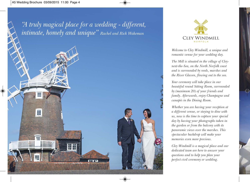*"A truly magical place for a wedding - different, intimate, homely and unique" Rachel and Rick Wakeman*





*Welcome to Cley Windmill, a unique and romantic venue for your wedding day.* 

*The Mill is situated in the village of Cleynext-the-Sea, on the North Norfolk coast and is surrounded by reeds, marshes and the River Glaven, flowing out to the sea.* 

*Your ceremony will take place in our beautiful round Sitting Room, surrounded by (maximum 20) of your friends and family. Afterwards, enjoy Champagne and canapés in the Dining Room.* 

*Whether you are having your reception at a different venue, or staying to dine with us, now is the time to capture your special day by having your photographs taken in the garden or from the balcony with its panoramic views over the marshes. This spectacular backdrop will make your memories even more precious.*

*Cley Windmill is a magical place and our dedicated team are here to answer your questions and to help you plan your perfect civil ceremony or wedding.*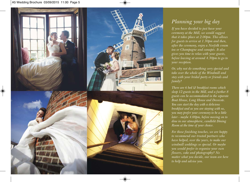

## *Planning your big day*

*If you have decided to just have your ceremony at the Mill, we would suggest that it takes place at 2.00pm. This allows for guests to arrive at 1.30pm and then, after the ceremony, enjoy a Norfolk cream tea or Champagne and canapés. It also gives you time to relax with your guests, before leaving at around 4.30pm to go to your reception.*

*Or, why not do something very special and take over the whole of the Windmill and stay with your bridal party or friends and family?* 

*There are 6 bed & breakfast rooms which sleep 12 guests in the Mill, and a further 8 guests can be accommodated in the separate Boat House, Long House and Dovecote. You can start the day with a delicious breakfast and as you are staying with us, you may prefer your ceremony to be a little later - maybe 4.00pm, before moving on to dine in our atmospheric, candlelit Dining Room at the time of your choice.*

*For those finishing touches, we are happy to recommend our trusted partners who have helped, over the years, to make our windmill weddings so special. Or maybe you would prefer to organise your own flowers, cake and photography? No matter what you decide, our team are here to help and advise you.*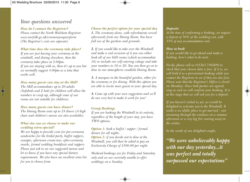### *Your questions answered*

#### *How do I contact the Registrar?*

*Please contact the North Walsham Registrar www.norfolk.go.uk/ceremonyenquiryform (The Registrar's costs are separate)*

#### *What time does the ceremony take place?*

*If you are just having your ceremony at the windmill, and dining elsewhere, then the ceremony takes place at 2.00pm. If you are staying with us, then it's up to you but we normally suggest 4.00pm as a time that works well.*

#### *How many guests can stay at the Mill?*

*The Mill accommodates up to 20 adults (Sofabeds and Z beds for children will allow the numbers to creep up, although some of our rooms are not suitable for children).*

#### *How many guests can have dinner?*

*The Dining Room seats up to 24 diners (A high chair and children's menus are also available).*

#### *What else can we choose to make our wedding extra-special?*

*We are happy to provide costs for pre-ceremony sandwiches for the bridal party, buffet suppers, canapés, afternoon cream teas, after-ceremony snacks, formal wedding breakfasts and suppers. Please just ask to see our suggested menus and let us know if you have any special dietary requirements. We also have an excellent wine list for you to choose from.*

*Choose the perfect option for your special day 1. The ceremony alone, with refreshments served afterwards from our Dining Room. You have full use of the gardens and grounds.* 

*2. If you would like to take over the Windmill and make a real occasion of it you can either book all of our b&b rooms (which accommodate 16) or include our self-catering cottage and take your numbers to 18 or 20. You can then go on to dine in our atmospheric candlelit Dining Room.* 

*3. A marquee in the beautiful garden, either for the ceremony or for dining. With this option you are able to invite more guests to your special day.*

*4. Come up with your own suggestion and we'll do our very best to make it work for you!*

#### *Group Bookings*

*If you are booking the Windmill in its entirety, regardless of the length of your stay, you have TWO options:*

*Option 1: book a buffet / supper / formal dinner for all nights. Option 2: if you decide not to dine at the Windmill, you will then be asked to pay an Exclusivity Charge of £300.00 per night.*

*Weekend bookings are for Friday and Saturday only and we are currently unable to offer weddings on a Sunday.*

#### *Deposits*

*At the time of confirming a booking, we request a deposit of 50% of the wedding cost, with 33% of any accommodation costs.*

#### *How to book*

*If you would like to go ahead and make a booking, here's what to do next:*

*Firstly, please call us (01263 740209) to check that your chosen date is free. If it is, we will hold it as a provisional booking while you contact the Registrar to see if they are also free. Please note that the Registrar's Office is closed on Mondays. Once both parties are agreed, ring us and we will confirm your booking. It is at this stage that we will ask you for a deposit.*

*If you haven't visited us yet, we would be delighted to welcome you to the Windmill. It really is an idyllic place to get married - sun streaming through the windows on a summer afternoon or a cosy log fire roaring away in the winter.* 

*In the words of one delighted couple,*

*"We were unbelievably happy with our day yesterday...it was perfect and totally surpassed our expectations"*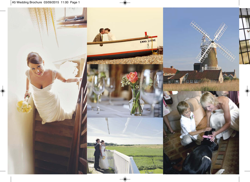